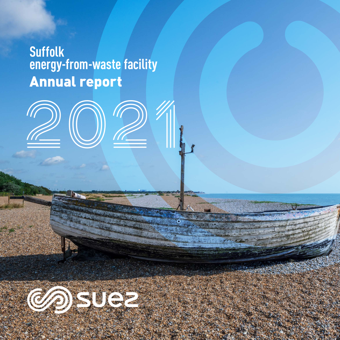# **Suffolk energy‑from‑waste facility** Annual report

2021

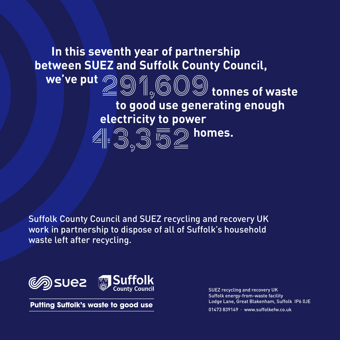## **In this seventh year of partnership between SUEZ and Suffolk County Council,**

**electricity to power** 

43,352**homes.**

 **we've put** 291,609 **tonnes of waste**

 **to good use generating enough** 

Suffolk County Council and SUEZ recycling and recovery UK work in partnership to dispose of all of Suffolk's household waste left after recycling.



**Putting Suffolk's waste to good use** 

SUEZ recycling and recovery UK Suffolk energy‑from‑waste facility Lodge Lane, Great Blakenham, Suffolk IP6 0JE 01473 839149 · www.suffolkefw.co.uk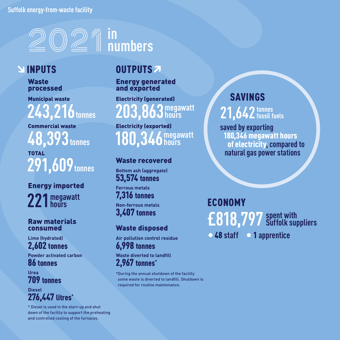### **Suffolk energy‑from‑waste facility**



### **INPUTS**

Waste processed

Municipal waste **243,216 tonnes**

Commercial waste **48,393 tonnes**

TOTAL **291,609tonnes**

Energy imported **221 megawatt hours**

#### Raw materials consumed

**Lime (hydrated)** 2,602 tonnes

**Powder activated carbon** 86 tonnes

**Urea** 709 tonnes

**Diesel**  276,447 litres\*

\* Diesel is used in the start-up and shut down of the facility to support the preheating and controlled cooling of the furnaces.

### OUTPUTS<sub>2</sub>

Energy generated and exported

Electricity (generated) **263** megawatt **hours**

Electricity (exported) **180,346 megawatt hours**

Waste recovered

**Bottom ash (aggregate)** 53,574 tonnes **Ferrous metals**

7,316 tonnes **Non-ferrous metals** 3,407 tonnes

### Waste disposed

**Air pollution control residue** 6,998 tonnes

**Waste diverted to landfill** 2,967 tonnes\*

\*During the annual shutdown of the facility some waste is diverted to landfill. Shutdown is required for routine maintenance.

SAVINGS

**21,642tonnes fossil fuels**

 **saved by exporting** 180,346 megawatt hours of electricity**, compared to natural gas power stations**

ECONOMY **•** 48 **staff •** 1 **apprentice £818,797 spent with Suffolk suppliers**